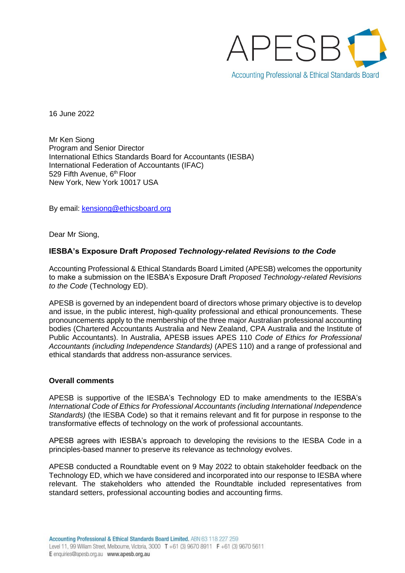

16 June 2022

Mr Ken Siong Program and Senior Director International Ethics Standards Board for Accountants (IESBA) International Federation of Accountants (IFAC) 529 Fifth Avenue, 6<sup>th</sup> Floor New York, New York 10017 USA

By email: [kensiong@ethicsboard.org](mailto:kensiong@ethicsboard.org)

Dear Mr Siong,

### **IESBA's Exposure Draft** *Proposed Technology-related Revisions to the Code*

Accounting Professional & Ethical Standards Board Limited (APESB) welcomes the opportunity to make a submission on the IESBA's Exposure Draft *Proposed Technology-related Revisions to the Code* (Technology ED).

APESB is governed by an independent board of directors whose primary objective is to develop and issue, in the public interest, high-quality professional and ethical pronouncements. These pronouncements apply to the membership of the three major Australian professional accounting bodies (Chartered Accountants Australia and New Zealand, CPA Australia and the Institute of Public Accountants). In Australia, APESB issues APES 110 *Code of Ethics for Professional Accountants (including Independence Standards)* (APES 110) and a range of professional and ethical standards that address non-assurance services.

### **Overall comments**

APESB is supportive of the IESBA's Technology ED to make amendments to the IESBA's *International Code of Ethics for Professional Accountants (including International Independence Standards)* (the IESBA Code) so that it remains relevant and fit for purpose in response to the transformative effects of technology on the work of professional accountants.

APESB agrees with IESBA's approach to developing the revisions to the IESBA Code in a principles-based manner to preserve its relevance as technology evolves.

APESB conducted a Roundtable event on 9 May 2022 to obtain stakeholder feedback on the Technology ED, which we have considered and incorporated into our response to IESBA where relevant. The stakeholders who attended the Roundtable included representatives from standard setters, professional accounting bodies and accounting firms.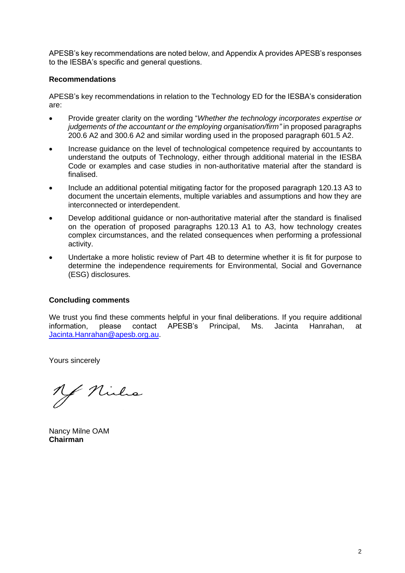APESB's key recommendations are noted below, and Appendix A provides APESB's responses to the IESBA's specific and general questions.

#### **Recommendations**

APESB's key recommendations in relation to the Technology ED for the IESBA's consideration are:

- Provide greater clarity on the wording "*Whether the technology incorporates expertise or judgements of the accountant or the employing organisation/firm*" in proposed paragraphs 200.6 A2 and 300.6 A2 and similar wording used in the proposed paragraph 601.5 A2.
- Increase guidance on the level of technological competence required by accountants to understand the outputs of Technology, either through additional material in the IESBA Code or examples and case studies in non-authoritative material after the standard is finalised.
- Include an additional potential mitigating factor for the proposed paragraph 120.13 A3 to document the uncertain elements, multiple variables and assumptions and how they are interconnected or interdependent.
- Develop additional guidance or non-authoritative material after the standard is finalised on the operation of proposed paragraphs 120.13 A1 to A3, how technology creates complex circumstances, and the related consequences when performing a professional activity.
- Undertake a more holistic review of Part 4B to determine whether it is fit for purpose to determine the independence requirements for Environmental, Social and Governance (ESG) disclosures.

### **Concluding comments**

We trust you find these comments helpful in your final deliberations. If you require additional information, please contact APESB's Principal, Ms. Jacinta Hanrahan, at [Jacinta.Hanrahan@apesb.org.au.](mailto:Jacinta.Hanrahan@apesb.org.au)

Yours sincerely

of Niels

Nancy Milne OAM **Chairman**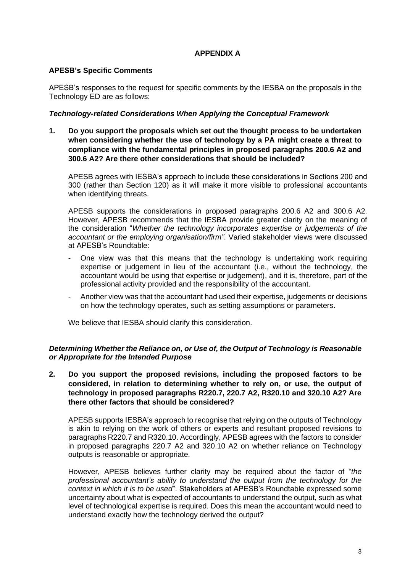# **APPENDIX A**

## **APESB's Specific Comments**

APESB's responses to the request for specific comments by the IESBA on the proposals in the Technology ED are as follows:

### *Technology-related Considerations When Applying the Conceptual Framework*

**1. Do you support the proposals which set out the thought process to be undertaken when considering whether the use of technology by a PA might create a threat to compliance with the fundamental principles in proposed paragraphs 200.6 A2 and 300.6 A2? Are there other considerations that should be included?**

APESB agrees with IESBA's approach to include these considerations in Sections 200 and 300 (rather than Section 120) as it will make it more visible to professional accountants when identifying threats.

APESB supports the considerations in proposed paragraphs 200.6 A2 and 300.6 A2. However, APESB recommends that the IESBA provide greater clarity on the meaning of the consideration "*Whether the technology incorporates expertise or judgements of the accountant or the employing organisation/firm"*. Varied stakeholder views were discussed at APESB's Roundtable:

- One view was that this means that the technology is undertaking work requiring expertise or judgement in lieu of the accountant (i.e., without the technology, the accountant would be using that expertise or judgement), and it is, therefore, part of the professional activity provided and the responsibility of the accountant.
- Another view was that the accountant had used their expertise, judgements or decisions on how the technology operates, such as setting assumptions or parameters.

We believe that IESBA should clarify this consideration.

### *Determining Whether the Reliance on, or Use of, the Output of Technology is Reasonable or Appropriate for the Intended Purpose*

**2. Do you support the proposed revisions, including the proposed factors to be considered, in relation to determining whether to rely on, or use, the output of technology in proposed paragraphs R220.7, 220.7 A2, R320.10 and 320.10 A2? Are there other factors that should be considered?**

APESB supports IESBA's approach to recognise that relying on the outputs of Technology is akin to relying on the work of others or experts and resultant proposed revisions to paragraphs R220.7 and R320.10. Accordingly, APESB agrees with the factors to consider in proposed paragraphs 220.7 A2 and 320.10 A2 on whether reliance on Technology outputs is reasonable or appropriate.

However, APESB believes further clarity may be required about the factor of "*the professional accountant's ability to understand the output from the technology for the context in which it is to be used*". Stakeholders at APESB's Roundtable expressed some uncertainty about what is expected of accountants to understand the output, such as what level of technological expertise is required. Does this mean the accountant would need to understand exactly how the technology derived the output?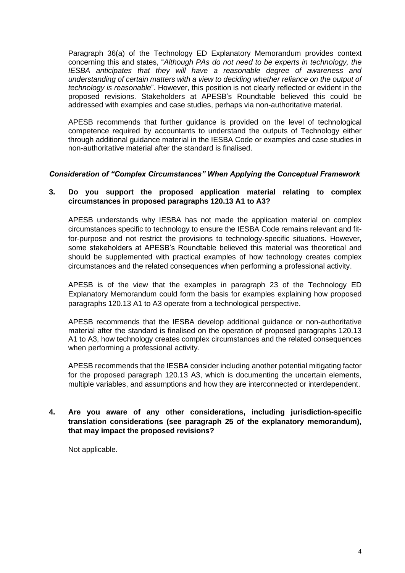Paragraph 36(a) of the Technology ED Explanatory Memorandum provides context concerning this and states, "*Although PAs do not need to be experts in technology, the IESBA anticipates that they will have a reasonable degree of awareness and understanding of certain matters with a view to deciding whether reliance on the output of technology is reasonable*". However, this position is not clearly reflected or evident in the proposed revisions. Stakeholders at APESB's Roundtable believed this could be addressed with examples and case studies, perhaps via non-authoritative material.

APESB recommends that further guidance is provided on the level of technological competence required by accountants to understand the outputs of Technology either through additional guidance material in the IESBA Code or examples and case studies in non-authoritative material after the standard is finalised.

### *Consideration of "Complex Circumstances" When Applying the Conceptual Framework*

# **3. Do you support the proposed application material relating to complex circumstances in proposed paragraphs 120.13 A1 to A3?**

APESB understands why IESBA has not made the application material on complex circumstances specific to technology to ensure the IESBA Code remains relevant and fitfor-purpose and not restrict the provisions to technology-specific situations. However, some stakeholders at APESB's Roundtable believed this material was theoretical and should be supplemented with practical examples of how technology creates complex circumstances and the related consequences when performing a professional activity.

APESB is of the view that the examples in paragraph 23 of the Technology ED Explanatory Memorandum could form the basis for examples explaining how proposed paragraphs 120.13 A1 to A3 operate from a technological perspective.

APESB recommends that the IESBA develop additional guidance or non-authoritative material after the standard is finalised on the operation of proposed paragraphs 120.13 A1 to A3, how technology creates complex circumstances and the related consequences when performing a professional activity.

APESB recommends that the IESBA consider including another potential mitigating factor for the proposed paragraph 120.13 A3, which is documenting the uncertain elements, multiple variables, and assumptions and how they are interconnected or interdependent.

## **4. Are you aware of any other considerations, including jurisdiction-specific translation considerations (see paragraph 25 of the explanatory memorandum), that may impact the proposed revisions?**

Not applicable.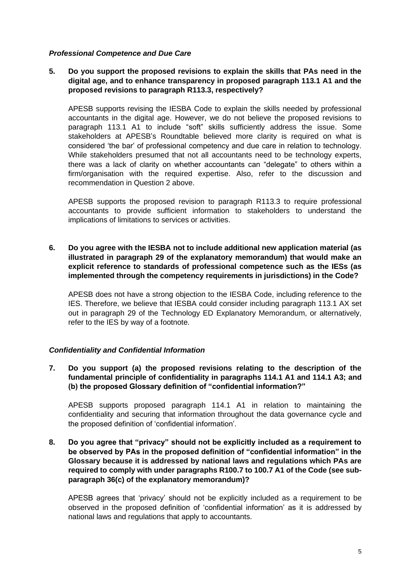### *Professional Competence and Due Care*

## **5. Do you support the proposed revisions to explain the skills that PAs need in the digital age, and to enhance transparency in proposed paragraph 113.1 A1 and the proposed revisions to paragraph R113.3, respectively?**

APESB supports revising the IESBA Code to explain the skills needed by professional accountants in the digital age. However, we do not believe the proposed revisions to paragraph 113.1 A1 to include "soft" skills sufficiently address the issue. Some stakeholders at APESB's Roundtable believed more clarity is required on what is considered 'the bar' of professional competency and due care in relation to technology. While stakeholders presumed that not all accountants need to be technology experts, there was a lack of clarity on whether accountants can "delegate" to others within a firm/organisation with the required expertise. Also, refer to the discussion and recommendation in Question 2 above.

APESB supports the proposed revision to paragraph R113.3 to require professional accountants to provide sufficient information to stakeholders to understand the implications of limitations to services or activities.

**6. Do you agree with the IESBA not to include additional new application material (as illustrated in paragraph 29 of the explanatory memorandum) that would make an explicit reference to standards of professional competence such as the IESs (as implemented through the competency requirements in jurisdictions) in the Code?**

APESB does not have a strong objection to the IESBA Code, including reference to the IES. Therefore, we believe that IESBA could consider including paragraph 113.1 AX set out in paragraph 29 of the Technology ED Explanatory Memorandum, or alternatively, refer to the IES by way of a footnote.

### *Confidentiality and Confidential Information*

**7. Do you support (a) the proposed revisions relating to the description of the fundamental principle of confidentiality in paragraphs 114.1 A1 and 114.1 A3; and (b) the proposed Glossary definition of "confidential information?"**

APESB supports proposed paragraph 114.1 A1 in relation to maintaining the confidentiality and securing that information throughout the data governance cycle and the proposed definition of 'confidential information'.

**8. Do you agree that "privacy" should not be explicitly included as a requirement to be observed by PAs in the proposed definition of "confidential information" in the Glossary because it is addressed by national laws and regulations which PAs are required to comply with under paragraphs R100.7 to 100.7 A1 of the Code (see subparagraph 36(c) of the explanatory memorandum)?**

APESB agrees that 'privacy' should not be explicitly included as a requirement to be observed in the proposed definition of 'confidential information' as it is addressed by national laws and regulations that apply to accountants.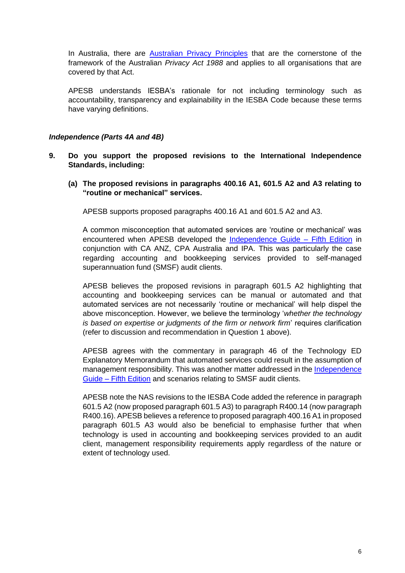In Australia, there are [Australian Privacy Principles](https://www.oaic.gov.au/privacy/australian-privacy-principles) that are the cornerstone of the framework of the Australian *Privacy Act 1988* and applies to all organisations that are covered by that Act.

APESB understands IESBA's rationale for not including terminology such as accountability, transparency and explainability in the IESBA Code because these terms have varying definitions.

### *Independence (Parts 4A and 4B)*

- **9. Do you support the proposed revisions to the International Independence Standards, including:**
	- **(a) The proposed revisions in paragraphs 400.16 A1, 601.5 A2 and A3 relating to "routine or mechanical" services.**

APESB supports proposed paragraphs 400.16 A1 and 601.5 A2 and A3.

A common misconception that automated services are 'routine or mechanical' was encountered when APESB developed the [Independence Guide –](https://apesb.org.au/wp-content/uploads/2020/06/APESB_Independence_Guide_May_2020.pdf) Fifth Edition in conjunction with CA ANZ, CPA Australia and IPA. This was particularly the case regarding accounting and bookkeeping services provided to self-managed superannuation fund (SMSF) audit clients.

APESB believes the proposed revisions in paragraph 601.5 A2 highlighting that accounting and bookkeeping services can be manual or automated and that automated services are not necessarily 'routine or mechanical' will help dispel the above misconception. However, we believe the terminology '*whether the technology is based on expertise or judgments of the firm or network firm*' requires clarification (refer to discussion and recommendation in Question 1 above).

APESB agrees with the commentary in paragraph 46 of the Technology ED Explanatory Memorandum that automated services could result in the assumption of management responsibility. This was another matter addressed in the [Independence](https://apesb.org.au/wp-content/uploads/2020/06/APESB_Independence_Guide_May_2020.pdf)  Guide – [Fifth Edition](https://apesb.org.au/wp-content/uploads/2020/06/APESB_Independence_Guide_May_2020.pdf) and scenarios relating to SMSF audit clients.

APESB note the NAS revisions to the IESBA Code added the reference in paragraph 601.5 A2 (now proposed paragraph 601.5 A3) to paragraph R400.14 (now paragraph R400.16). APESB believes a reference to proposed paragraph 400.16 A1 in proposed paragraph 601.5 A3 would also be beneficial to emphasise further that when technology is used in accounting and bookkeeping services provided to an audit client, management responsibility requirements apply regardless of the nature or extent of technology used.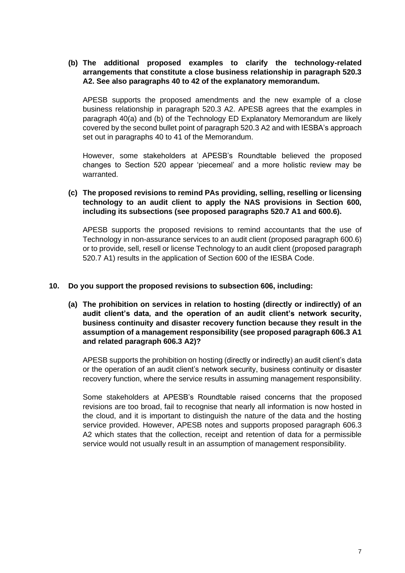# **(b) The additional proposed examples to clarify the technology-related arrangements that constitute a close business relationship in paragraph 520.3 A2. See also paragraphs 40 to 42 of the explanatory memorandum.**

APESB supports the proposed amendments and the new example of a close business relationship in paragraph 520.3 A2. APESB agrees that the examples in paragraph 40(a) and (b) of the Technology ED Explanatory Memorandum are likely covered by the second bullet point of paragraph 520.3 A2 and with IESBA's approach set out in paragraphs 40 to 41 of the Memorandum.

However, some stakeholders at APESB's Roundtable believed the proposed changes to Section 520 appear 'piecemeal' and a more holistic review may be warranted.

# **(c) The proposed revisions to remind PAs providing, selling, reselling or licensing technology to an audit client to apply the NAS provisions in Section 600, including its subsections (see proposed paragraphs 520.7 A1 and 600.6).**

APESB supports the proposed revisions to remind accountants that the use of Technology in non-assurance services to an audit client (proposed paragraph 600.6) or to provide, sell, resell or license Technology to an audit client (proposed paragraph 520.7 A1) results in the application of Section 600 of the IESBA Code.

#### **10. Do you support the proposed revisions to subsection 606, including:**

**(a) The prohibition on services in relation to hosting (directly or indirectly) of an audit client's data, and the operation of an audit client's network security, business continuity and disaster recovery function because they result in the assumption of a management responsibility (see proposed paragraph 606.3 A1 and related paragraph 606.3 A2)?**

APESB supports the prohibition on hosting (directly or indirectly) an audit client's data or the operation of an audit client's network security, business continuity or disaster recovery function, where the service results in assuming management responsibility.

Some stakeholders at APESB's Roundtable raised concerns that the proposed revisions are too broad, fail to recognise that nearly all information is now hosted in the cloud, and it is important to distinguish the nature of the data and the hosting service provided. However, APESB notes and supports proposed paragraph 606.3 A2 which states that the collection, receipt and retention of data for a permissible service would not usually result in an assumption of management responsibility.